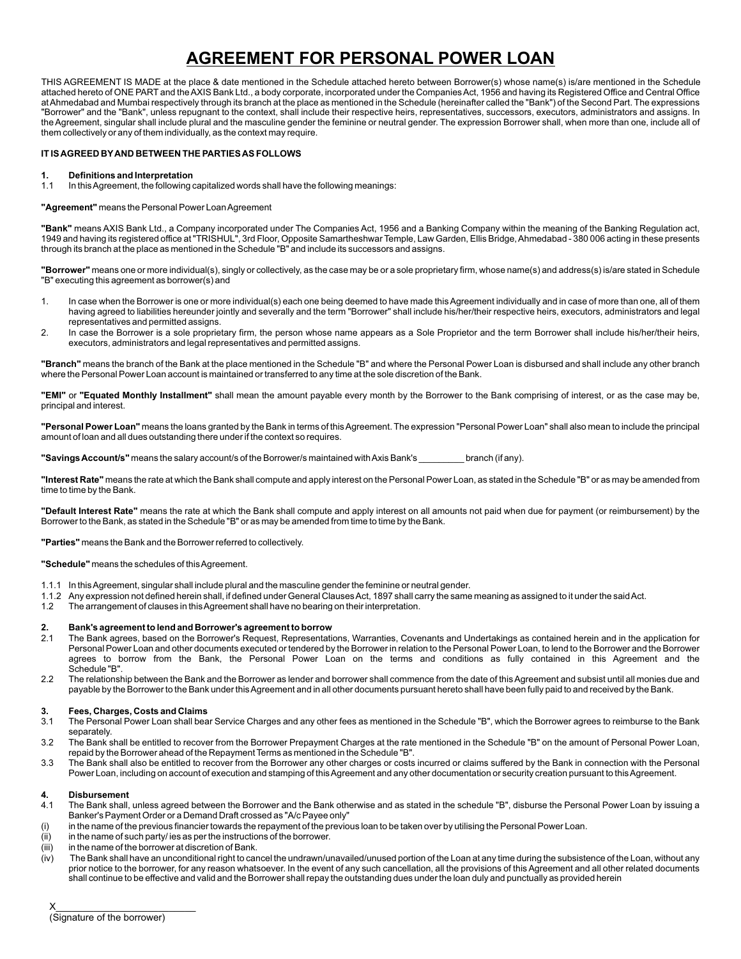# **AGREEMENT FOR PERSONAL POWER LOAN**

THIS AGREEMENT IS MADE at the place & date mentioned in the Schedule attached hereto between Borrower(s) whose name(s) is/are mentioned in the Schedule attached hereto of ONE PART and the AXIS Bank Ltd., a body corporate, incorporated under the Companies Act, 1956 and having its Registered Office and Central Office at Ahmedabad and Mumbai respectively through its branch at the place as mentioned in the Schedule (hereinafter called the "Bank") of the Second Part. The expressions "Borrower" and the "Bank", unless repugnant to the context, shall include their respective heirs, representatives, successors, executors, administrators and assigns. In the Agreement, singular shall include plural and the masculine gender the feminine or neutral gender. The expression Borrower shall, when more than one, include all of them collectively or any of them individually, as the context may require.

#### **IT IS AGREED BYAND BETWEEN THE PARTIES AS FOLLOWS**

**1. Definitions and Interpretation**<br>**1.1** In this Agreement, the following of In this Agreement, the following capitalized words shall have the following meanings:

#### **"Agreement"** means the Personal Power Loan Agreement

**"Bank"** means AXIS Bank Ltd., a Company incorporated under The Companies Act, 1956 and a Banking Company within the meaning of the Banking Regulation act, 1949 and having its registered office at "TRISHUL", 3rd Floor, Opposite Samartheshwar Temple, Law Garden, Ellis Bridge, Ahmedabad - 380 006 acting in these presents through its branch at the place as mentioned in the Schedule "B" and include its successors and assigns.

**"Borrower"** means one or more individual(s), singly or collectively, as the case may be or a sole proprietary firm, whose name(s) and address(s) is/are stated in Schedule "B" executing this agreement as borrower(s) and

- 1. In case when the Borrower is one or more individual(s) each one being deemed to have made this Agreement individually and in case of more than one, all of them having agreed to liabilities hereunder jointly and severally and the term "Borrower" shall include his/her/their respective heirs, executors, administrators and legal representatives and permitted assigns.
- 2. In case the Borrower is a sole proprietary firm, the person whose name appears as a Sole Proprietor and the term Borrower shall include his/her/their heirs, executors, administrators and legal representatives and permitted assigns.

**"Branch"** means the branch of the Bank at the place mentioned in the Schedule "B" and where the Personal Power Loan is disbursed and shall include any other branch where the Personal Power Loan account is maintained or transferred to any time at the sole discretion of the Bank.

**"EMI"** or **"Equated Monthly Installment"** shall mean the amount payable every month by the Borrower to the Bank comprising of interest, or as the case may be, principal and interest.

**"Personal Power Loan"** means the loans granted by the Bank in terms of this Agreement. The expression "Personal Power Loan" shall also mean to include the principal amount of loan and all dues outstanding there under if the context so requires.

**"Savings Account/s"** means the salary account/s of the Borrower/s maintained with Axis Bank's \_\_\_\_\_\_\_\_\_ branch (if any).

**"Interest Rate"** means the rate at which the Bank shall compute and apply interest on the Personal Power Loan, as stated in the Schedule "B" or as may be amended from time to time by the Bank.

**"Default Interest Rate"** means the rate at which the Bank shall compute and apply interest on all amounts not paid when due for payment (or reimbursement) by the Borrower to the Bank, as stated in the Schedule "B" or as may be amended from time to time by the Bank.

**"Parties"** means the Bank and the Borrower referred to collectively.

**"Schedule"** means the schedules of this Agreement.

- 1.1.1 In this Agreement, singular shall include plural and the masculine gender the feminine or neutral gender.
- 1.1.2 Any expression not defined herein shall, if defined under General Clauses Act, 1897 shall carry the same meaning as assigned to it under the said Act.
- 1.2 The arrangement of clauses in this Agreement shall have no bearing on their interpretation.

#### **2. Bank's agreement to lend and Borrower's agreement to borrow**

2.1 The Bank agrees, based on the Borrower's Request, Representations, Warranties, Covenants and Undertakings as contained herein and in the application for Personal Power Loan and other documents executed or tendered by the Borrower in relation to the Personal Power Loan, to lend to the Borrower and the Borrower agrees to borrow from the Bank, the Personal Power Loan on the terms and conditions as fully contained in this Agreement and the Schedule "B".

2.2 The relationship between the Bank and the Borrower as lender and borrower shall commence from the date of this Agreement and subsist until all monies due and payable by the Borrower to the Bank under this Agreement and in all other documents pursuant hereto shall have been fully paid to and received by the Bank.

#### **3. Fees, Charges, Costs and Claims**

- 3.1 The Personal Power Loan shall bear Service Charges and any other fees as mentioned in the Schedule "B", which the Borrower agrees to reimburse to the Bank separately.
- 3.2 The Bank shall be entitled to recover from the Borrower Prepayment Charges at the rate mentioned in the Schedule "B" on the amount of Personal Power Loan, repaid by the Borrower ahead of the Repayment Terms as mentioned in the Schedule "B".
- 3.3 The Bank shall also be entitled to recover from the Borrower any other charges or costs incurred or claims suffered by the Bank in connection with the Personal Power Loan, including on account of execution and stamping of this Agreement and any other documentation or security creation pursuant to this Agreement.

#### **4. Disbursement**

- 4.1 The Bank shall, unless agreed between the Borrower and the Bank otherwise and as stated in the schedule "B", disburse the Personal Power Loan by issuing a Banker's Payment Order or a Demand Draft crossed as "A/c Payee only"
- (i) in the name of the previous financier towards the repayment of the previous loan to be taken over by utilising the Personal Power Loan.
- (ii) in the name of such party/ ies as per the instructions of the borrower.
- (iii) in the name of the borrower at discretion of Bank.
- $(iv)$  The Bank shall have an unconditional right to cancel the undrawn/unavailed/unused portion of the Loan at any time during the subsistence of the Loan, without any prior notice to the borrower, for any reason whatsoever. In the event of any such cancellation, all the provisions of this Agreement and all other related documents shall continue to be effective and valid and the Borrower shall repay the outstanding dues under the loan duly and punctually as provided herein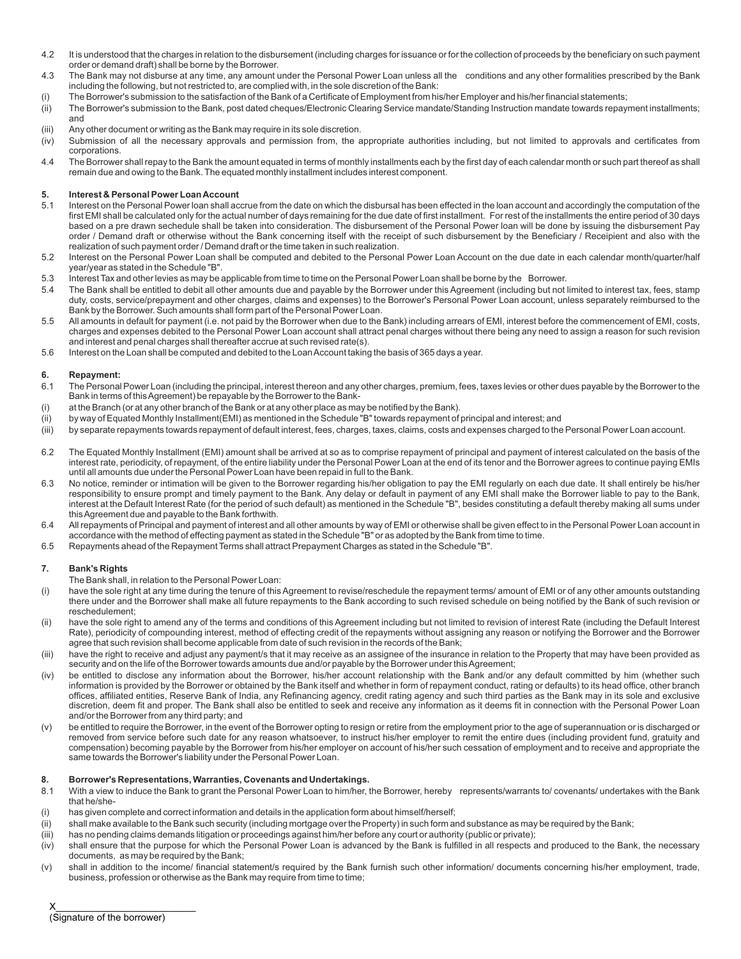- 4.2 It is understood that the charges in relation to the disbursement (including charges for issuance or for the collection of proceeds by the beneficiary on such payment order or demand draft) shall be borne by the Borrower.
- 4.3 The Bank may not disburse at any time, any amount under the Personal Power Loan unless all the conditions and any other formalities prescribed by the Bank including the following, but not restricted to, are complied with, in the sole discretion of the Bank:
- (i) The Borrower's submission to the satisfaction of the Bank of a Certificate of Employment from his/her Employer and his/her financial statements;
- (ii) The Borrower's submission to the Bank, post dated cheques/Electronic Clearing Service mandate/Standing Instruction mandate towards repayment installments; and
- (iii) Any other document or writing as the Bank may require in its sole discretion.
- (iv) Submission of all the necessary approvals and permission from, the appropriate authorities including, but not limited to approvals and certificates from corporations.
- 4.4 The Borrower shall repay to the Bank the amount equated in terms of monthly installments each by the first day of each calendar month or such part thereof as shall remain due and owing to the Bank. The equated monthly installment includes interest component.

### **5. Interest & Personal Power Loan Account**

- 5.1 Interest on the Personal Power loan shall accrue from the date on which the disbursal has been effected in the loan account and accordingly the computation of the first EMI shall be calculated only for the actual number of days remaining for the due date of first installment. For rest of the installments the entire period of 30 days based on a pre drawn sechedule shall be taken into consideration. The disbursement of the Personal Power loan will be done by issuing the disbursement Pay order / Demand draft or otherwise without the Bank concerning itself with the receipt of such disbursement by the Beneficiary / Receipient and also with the realization of such payment order / Demand draft or the time taken in such realization.
- 5.2 Interest on the Personal Power Loan shall be computed and debited to the Personal Power Loan Account on the due date in each calendar month/quarter/half year/year as stated in the Schedule "B".
- 5.3 Interest Tax and other levies as may be applicable from time to time on the Personal Power Loan shall be borne by the Borrower.
- 5.4 The Bank shall be entitled to debit all other amounts due and payable by the Borrower under this Agreement (including but not limited to interest tax, fees, stamp duty, costs, service/prepayment and other charges, claims and expenses) to the Borrower's Personal Power Loan account, unless separately reimbursed to the Bank by the Borrower. Such amounts shall form part of the Personal Power Loan.
- 5.5 All amounts in default for payment (i.e. not paid by the Borrower when due to the Bank) including arrears of EMI, interest before the commencement of EMI, costs, charges and expenses debited to the Personal Power Loan account shall attract penal charges without there being any need to assign a reason for such revision and interest and penal charges shall thereafter accrue at such revised rate(s).
- 5.6 Interest on the Loan shall be computed and debited to the Loan Account taking the basis of 365 days a year.

#### **6. Repayment:**

- 6.1 The Personal Power Loan (including the principal, interest thereon and any other charges, premium, fees, taxes levies or other dues payable by the Borrower to the Bank in terms of this Agreement) be repayable by the Borrower to the Bank-
- (i) at the Branch (or at any other branch of the Bank or at any other place as may be notified by the Bank).
- (ii) by way of Equated Monthly Installment(EMI) as mentioned in the Schedule "B" towards repayment of principal and interest; and
- (iii) by separate repayments towards repayment of default interest, fees, charges, taxes, claims, costs and expenses charged to the Personal Power Loan account.
- 6.2 The Equated Monthly Installment (EMI) amount shall be arrived at so as to comprise repayment of principal and payment of interest calculated on the basis of the interest rate, periodicity, of repayment, of the entire liability under the Personal Power Loan at the end of its tenor and the Borrower agrees to continue paying EMIs until all amounts due under the Personal Power Loan have been repaid in full to the Bank.
- 6.3 No notice, reminder or intimation will be given to the Borrower regarding his/her obligation to pay the EMI regularly on each due date. It shall entirely be his/her responsibility to ensure prompt and timely payment to the Bank. Any delay or default in payment of any EMI shall make the Borrower liable to pay to the Bank, interest at the Default Interest Rate (for the period of such default) as mentioned in the Schedule "B", besides constituting a default thereby making all sums under this Agreement due and payable to the Bank forthwith.
- 6.4 All repayments of Principal and payment of interest and all other amounts by way of EMI or otherwise shall be given effect to in the Personal Power Loan account in accordance with the method of effecting payment as stated in the Schedule "B" or as adopted by the Bank from time to time.
- 6.5 Repayments ahead of the Repayment Terms shall attract Prepayment Charges as stated in the Schedule "B".

#### **7. Bank's Rights**

- The Bank shall, in relation to the Personal Power Loan:
- (i) have the sole right at any time during the tenure of this Agreement to revise/reschedule the repayment terms/ amount of EMI or of any other amounts outstanding there under and the Borrower shall make all future repayments to the Bank according to such revised schedule on being notified by the Bank of such revision or reschedulement;
- (ii) have the sole right to amend any of the terms and conditions of this Agreement including but not limited to revision of interest Rate (including the Default Interest Rate), periodicity of compounding interest, method of effecting credit of the repayments without assigning any reason or notifying the Borrower and the Borrower agree that such revision shall become applicable from date of such revision in the records of the Bank;
- (iii) have the right to receive and adjust any payment/s that it may receive as an assignee of the insurance in relation to the Property that may have been provided as security and on the life of the Borrower towards amounts due and/or payable by the Borrower under this Agreement;
- (iv) be entitled to disclose any information about the Borrower, his/her account relationship with the Bank and/or any default committed by him (whether such information is provided by the Borrower or obtained by the Bank itself and whether in form of repayment conduct, rating or defaults) to its head office, other branch offices, affiliated entities, Reserve Bank of India, any Refinancing agency, credit rating agency and such third parties as the Bank may in its sole and exclusive discretion, deem fit and proper. The Bank shall also be entitled to seek and receive any information as it deems fit in connection with the Personal Power Loan and/or the Borrower from any third party; and
- (v) be entitled to require the Borrower, in the event of the Borrower opting to resign or retire from the employment prior to the age of superannuation or is discharged or removed from service before such date for any reason whatsoever, to instruct his/her employer to remit the entire dues (including provident fund, gratuity and compensation) becoming payable by the Borrower from his/her employer on account of his/her such cessation of employment and to receive and appropriate the same towards the Borrower's liability under the Personal Power Loan.

#### **8. Borrower's Representations, Warranties, Covenants and Undertakings.**

- 8.1 With a view to induce the Bank to grant the Personal Power Loan to him/her, the Borrower, hereby represents/warrants to/ covenants/ undertakes with the Bank that he/she-
- (i) has given complete and correct information and details in the application form about himself/herself;
- (ii) shall make available to the Bank such security (including mortgage over the Property) in such form and substance as may be required by the Bank;
- (iii) has no pending claims demands litigation or proceedings against him/her before any court or authority (public or private);
- (iv) shall ensure that the purpose for which the Personal Power Loan is advanced by the Bank is fulfilled in all respects and produced to the Bank, the necessary documents, as may be required by the Bank;
- (v) shall in addition to the income/ financial statement/s required by the Bank furnish such other information/ documents concerning his/her employment, trade, business, profession or otherwise as the Bank may require from time to time;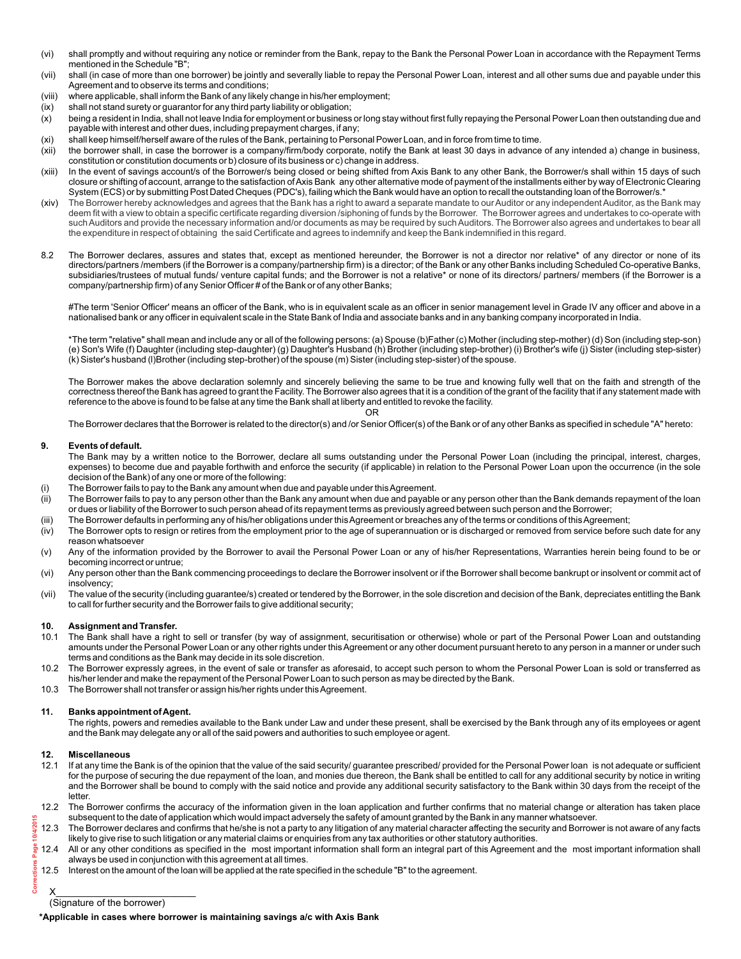- (vi) shall promptly and without requiring any notice or reminder from the Bank, repay to the Bank the Personal Power Loan in accordance with the Repayment Terms mentioned in the Schedule "B";
- (vii) shall (in case of more than one borrower) be jointly and severally liable to repay the Personal Power Loan, interest and all other sums due and payable under this Agreement and to observe its terms and conditions;
- (viii) where applicable, shall inform the Bank of any likely change in his/her employment;
- (ix) shall not stand surety or guarantor for any third party liability or obligation;
- (x) being a resident in India, shall not leave India for employment or business or long stay without first fully repaying the Personal Power Loan then outstanding due and payable with interest and other dues, including prepayment charges, if any;
- (xi) shall keep himself/herself aware of the rules of the Bank, pertaining to Personal Power Loan, and in force from time to time.
- (xii) the borrower shall, in case the borrower is a company/firm/body corporate, notify the Bank at least 30 days in advance of any intended a) change in business, constitution or constitution documents or b) closure of its business or c) change in address.
- (xiii) In the event of savings account/s of the Borrower/s being closed or being shifted from Axis Bank to any other Bank, the Borrower/s shall within 15 days of such closure or shifting of account, arrange to the satisfaction of Axis Bank any other alternative mode of payment of the installments either by way of Electronic Clearing System (ECS) or by submitting Post Dated Cheques (PDC's), failing which the Bank would have an option to recall the outstanding loan of the Borrower/s.
- (xiv) The Borrower hereby acknowledges and agrees that the Bank has a right to award a separate mandate to our Auditor or any independent Auditor, as the Bank may deem fit with a view to obtain a specific certificate regarding diversion /siphoning of funds by the Borrower. The Borrower agrees and undertakes to co-operate with such Auditors and provide the necessary information and/or documents as may be required by such Auditors. The Borrower also agrees and undertakes to bear all the expenditure in respect of obtaining the said Certificate and agrees to indemnify and keep the Bank indemnified in this regard.
- 8.2 The Borrower declares, assures and states that, except as mentioned hereunder, the Borrower is not a director nor relative\* of any director or none of its directors/partners /members (if the Borrower is a company/partnership firm) is a director; of the Bank or any other Banks including Scheduled Co-operative Banks, subsidiaries/trustees of mutual funds/ venture capital funds; and the Borrower is not a relative\* or none of its directors/ partners/ members (if the Borrower is a company/partnership firm) of any Senior Officer # of the Bank or of any other Banks;

#The term 'Senior Officer' means an officer of the Bank, who is in equivalent scale as an officer in senior management level in Grade IV any officer and above in a nationalised bank or any officer in equivalent scale in the State Bank of India and associate banks and in any banking company incorporated in India.

\*The term "relative" shall mean and include any or all of the following persons: (a) Spouse (b)Father (c) Mother (including step-mother) (d) Son (including step-son) (e) Son's Wife (f) Daughter (including step-daughter) (g) Daughter's Husband (h) Brother (including step-brother) (i) Brother's wife (j) Sister (including step-sister) (k) Sister's husband (l)Brother (including step-brother) of the spouse (m) Sister (including step-sister) of the spouse.

The Borrower makes the above declaration solemnly and sincerely believing the same to be true and knowing fully well that on the faith and strength of the correctness thereof the Bank has agreed to grant the Facility. The Borrower also agrees that it is a condition of the grant of the facility that if any statement made with reference to the above is found to be false at any time the Bank shall at liberty and entitled to revoke the facility. OR

The Borrower declares that the Borrower is related to the director(s) and /or Senior Officer(s) of the Bank or of any other Banks as specified in schedule "A" hereto:

#### **9. Events of default.**

The Bank may by a written notice to the Borrower, declare all sums outstanding under the Personal Power Loan (including the principal, interest, charges, expenses) to become due and payable forthwith and enforce the security (if applicable) in relation to the Personal Power Loan upon the occurrence (in the sole decision of the Bank) of any one or more of the following:

- (i) The Borrower fails to pay to the Bank any amount when due and payable under this Agreement.
- (ii) The Borrower fails to pay to any person other than the Bank any amount when due and payable or any person other than the Bank demands repayment of the loan or dues or liability of the Borrower to such person ahead of its repayment terms as previously agreed between such person and the Borrower;
- (iii) The Borrower defaults in performing any of his/her obligations under this Agreement or breaches any of the terms or conditions of this Agreement;
- (iv) The Borrower opts to resign or retires from the employment prior to the age of superannuation or is discharged or removed from service before such date for any reason whatsoever
- (v) Any of the information provided by the Borrower to avail the Personal Power Loan or any of his/her Representations, Warranties herein being found to be or becoming incorrect or untrue;
- (vi) Any person other than the Bank commencing proceedings to declare the Borrower insolvent or if the Borrower shall become bankrupt or insolvent or commit act of insolvency;
- (vii) The value of the security (including guarantee/s) created or tendered by the Borrower, in the sole discretion and decision of the Bank, depreciates entitling the Bank to call for further security and the Borrower fails to give additional security;

#### **10. Assignment and Transfer.**

- 10.1 The Bank shall have a right to sell or transfer (by way of assignment, securitisation or otherwise) whole or part of the Personal Power Loan and outstanding amounts under the Personal Power Loan or any other rights under this Agreement or any other document pursuant hereto to any person in a manner or under such terms and conditions as the Bank may decide in its sole discretion.
- 10.2 The Borrower expressly agrees, in the event of sale or transfer as aforesaid, to accept such person to whom the Personal Power Loan is sold or transferred as his/her lender and make the repayment of the Personal Power Loan to such person as may be directed by the Bank.
- 10.3 The Borrower shall not transfer or assign his/her rights under this Agreement.

#### **11. Banks appointment of Agent.**

The rights, powers and remedies available to the Bank under Law and under these present, shall be exercised by the Bank through any of its employees or agent and the Bank may delegate any or all of the said powers and authorities to such employee or agent.

#### **12. Miscellaneous**

0/4/2015

- 12.1 If at any time the Bank is of the opinion that the value of the said security/ guarantee prescribed/ provided for the Personal Power loan is not adequate or sufficient for the purpose of securing the due repayment of the loan, and monies due thereon, the Bank shall be entitled to call for any additional security by notice in writing and the Borrower shall be bound to comply with the said notice and provide any additional security satisfactory to the Bank within 30 days from the receipt of the letter.
- 12.2 The Borrower confirms the accuracy of the information given in the loan application and further confirms that no material change or alteration has taken place subsequent to the date of application which would impact adversely the safety of amount granted by the Bank in any manner whatsoever.
- 12.3 The Borrower declares and confirms that he/she is not a party to any litigation of any material character affecting the security and Borrower is not aware of any facts likely to give rise to such litigation or any material claims or enquiries from any tax authorities or other statutory authorities.
- 12.4 All or any other conditions as specified in the most important information shall form an integral part of this Agreement and the most important information shall always be used in conjunction with this agreement at all times.
- 12.5 Interest on the amount of the loan will be applied at the rate specified in the schedule "B" to the agreement. **Corrections Page 10/4/2015**

#### $X_\_$ (Signature of the borrower)

**\*Applicable in cases where borrower is maintaining savings a/c with Axis Bank**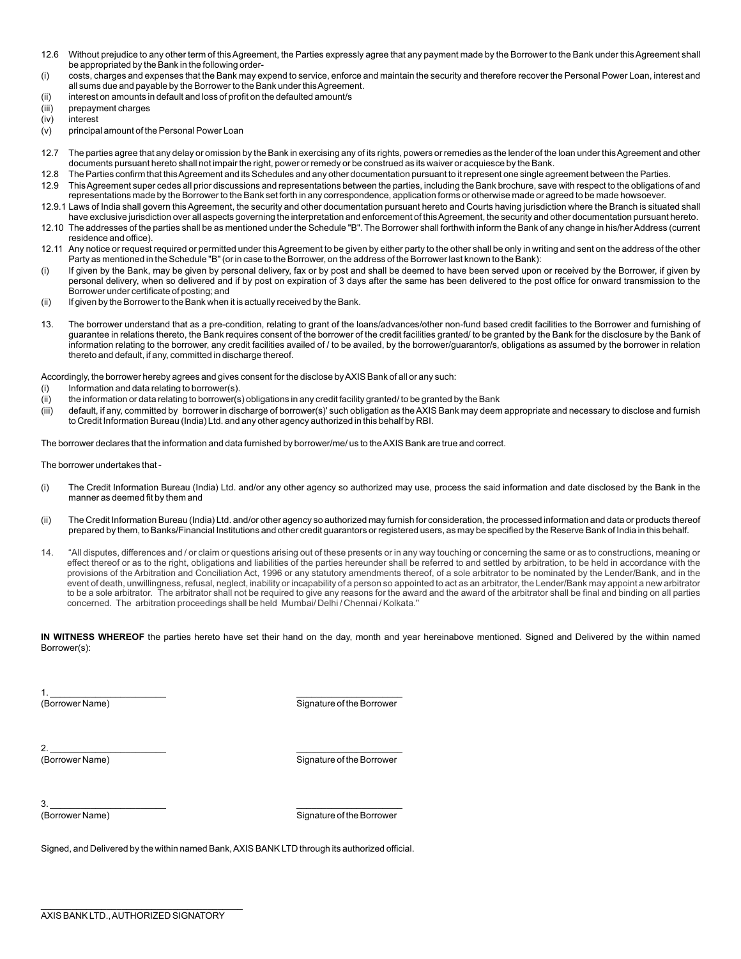- 12.6 Without prejudice to any other term of this Agreement, the Parties expressly agree that any payment made by the Borrower to the Bank under this Agreement shall be appropriated by the Bank in the following order-
- (i) costs, charges and expenses that the Bank may expend to service, enforce and maintain the security and therefore recover the Personal Power Loan, interest and all sums due and payable by the Borrower to the Bank under this Agreement.
- (ii) interest on amounts in default and loss of profit on the defaulted amount/s
- (iii) prepayment charges
- (iv) interest
- (v) principal amount of the Personal Power Loan
- 12.7 The parties agree that any delay or omission by the Bank in exercising any of its rights, powers or remedies as the lender of the loan under this Agreement and other documents pursuant hereto shall not impair the right, power or remedy or be construed as its waiver or acquiesce by the Bank.
- 12.8 The Parties confirm that this Agreement and its Schedules and any other documentation pursuant to it represent one single agreement between the Parties.
- 12.9 This Agreement super cedes all prior discussions and representations between the parties, including the Bank brochure, save with respect to the obligations of and representations made by the Borrower to the Bank set forth in any correspondence, application forms or otherwise made or agreed to be made howsoever.
- 12.9.1 Laws of India shall govern this Agreement, the security and other documentation pursuant hereto and Courts having jurisdiction where the Branch is situated shall have exclusive jurisdiction over all aspects governing the interpretation and enforcement of this Agreement, the security and other documentation pursuant hereto.
- 12.10 The addresses of the parties shall be as mentioned under the Schedule "B". The Borrower shall forthwith inform the Bank of any change in his/her Address (current residence and office).
- 12.11 Any notice or request required or permitted under this Agreement to be given by either party to the other shall be only in writing and sent on the address of the other Party as mentioned in the Schedule "B" (or in case to the Borrower, on the address of the Borrower last known to the Bank):
- (i) If given by the Bank, may be given by personal delivery, fax or by post and shall be deemed to have been served upon or received by the Borrower, if given by personal delivery, when so delivered and if by post on expiration of 3 days after the same has been delivered to the post office for onward transmission to the Borrower under certificate of posting; and
- (ii) If given by the Borrower to the Bank when it is actually received by the Bank.
- 13. The borrower understand that as a pre-condition, relating to grant of the loans/advances/other non-fund based credit facilities to the Borrower and furnishing of guarantee in relations thereto, the Bank requires consent of the borrower of the credit facilities granted/ to be granted by the Bank for the disclosure by the Bank of information relating to the borrower, any credit facilities availed of / to be availed, by the borrower/guarantor/s, obligations as assumed by the borrower in relation thereto and default, if any, committed in discharge thereof.

Accordingly, the borrower hereby agrees and gives consent for the disclose by AXIS Bank of all or any such:

- (i) Information and data relating to borrower(s).
- (ii) the information or data relating to borrower(s) obligations in any credit facility granted/ to be granted by the Bank
- (iii) default, if any, committed by borrower in discharge of borrower(s)' such obligation as the AXIS Bank may deem appropriate and necessary to disclose and furnish to Credit Information Bureau (India) Ltd. and any other agency authorized in this behalf by RBI.

The borrower declares that the information and data furnished by borrower/me/ us to the AXIS Bank are true and correct.

The borrower undertakes that -

- (i) The Credit Information Bureau (India) Ltd. and/or any other agency so authorized may use, process the said information and date disclosed by the Bank in the manner as deemed fit by them and
- (ii) The Credit Information Bureau (India) Ltd. and/or other agency so authorized may furnish for consideration, the processed information and data or products thereof prepared by them, to Banks/Financial Institutions and other credit guarantors or registered users, as may be specified by the Reserve Bank of India in this behalf.
- 14. "All disputes, differences and / or claim or questions arising out of these presents or in any way touching or concerning the same or as to constructions, meaning or effect thereof or as to the right, obligations and liabilities of the parties hereunder shall be referred to and settled by arbitration, to be held in accordance with the provisions of the Arbitration and Conciliation Act, 1996 or any statutory amendments thereof, of a sole arbitrator to be nominated by the Lender/Bank, and in the event of death, unwillingness, refusal, neglect, inability or incapability of a person so appointed to act as an arbitrator, the Lender/Bank may appoint a new arbitrator to be a sole arbitrator. The arbitrator shall not be required to give any reasons for the award and the award of the arbitrator shall be final and binding on all parties concerned. The arbitration proceedings shall be held Mumbai/ Delhi / Chennai / Kolkata."

**IN WITNESS WHEREOF** the parties hereto have set their hand on the day, month and year hereinabove mentioned. Signed and Delivered by the within named Borrower(s):

1.  $\blacksquare$ 

(Borrower Name) Signature of the Borrower Name)

2. \_\_\_\_\_\_\_\_\_\_\_\_\_\_\_\_\_\_\_\_\_\_\_ \_\_\_\_\_\_\_\_\_\_\_\_\_\_\_\_\_\_\_\_\_

(Borrower Name) Signature of the Borrower

3. \_\_\_\_\_\_\_\_\_\_\_\_\_\_\_\_\_\_\_\_\_\_\_ \_\_\_\_\_\_\_\_\_\_\_\_\_\_\_\_\_\_\_\_\_

(Borrower Name) Signature of the Borrower

Signed, and Delivered by the within named Bank, AXIS BANK LTD through its authorized official.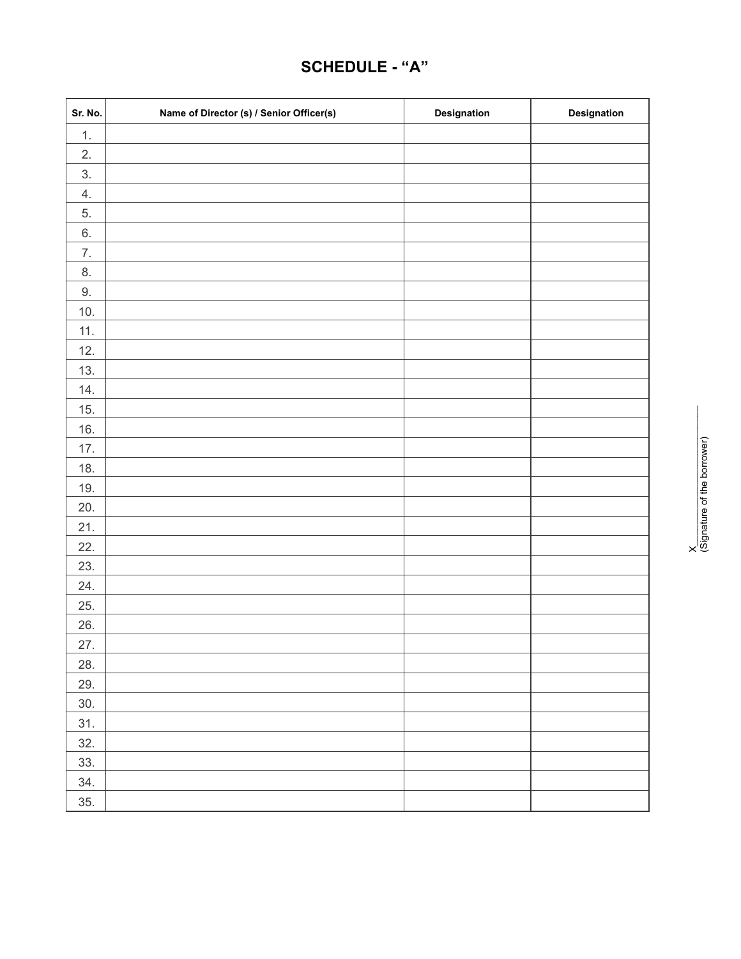# **SCHEDULE - "A"**

| Sr. No. | Name of Director (s) / Senior Officer(s) | Designation | Designation |
|---------|------------------------------------------|-------------|-------------|
| 1.      |                                          |             |             |
| 2.      |                                          |             |             |
| 3.      |                                          |             |             |
| 4.      |                                          |             |             |
| 5.      |                                          |             |             |
| $6. \,$ |                                          |             |             |
| 7.      |                                          |             |             |
| 8.      |                                          |             |             |
| $9. \,$ |                                          |             |             |
| 10.     |                                          |             |             |
| 11.     |                                          |             |             |
| 12.     |                                          |             |             |
| 13.     |                                          |             |             |
| 14.     |                                          |             |             |
| 15.     |                                          |             |             |
| 16.     |                                          |             |             |
| 17.     |                                          |             |             |
| 18.     |                                          |             |             |
| 19.     |                                          |             |             |
| 20.     |                                          |             |             |
| 21.     |                                          |             |             |
| 22.     |                                          |             |             |
| 23.     |                                          |             |             |
| 24.     |                                          |             |             |
| 25.     |                                          |             |             |
| 26.     |                                          |             |             |
| 27.     |                                          |             |             |
| 28.     |                                          |             |             |
| 29.     |                                          |             |             |
| 30.     |                                          |             |             |
| 31.     |                                          |             |             |
| 32.     |                                          |             |             |
| 33.     |                                          |             |             |
| 34.     |                                          |             |             |
| 35.     |                                          |             |             |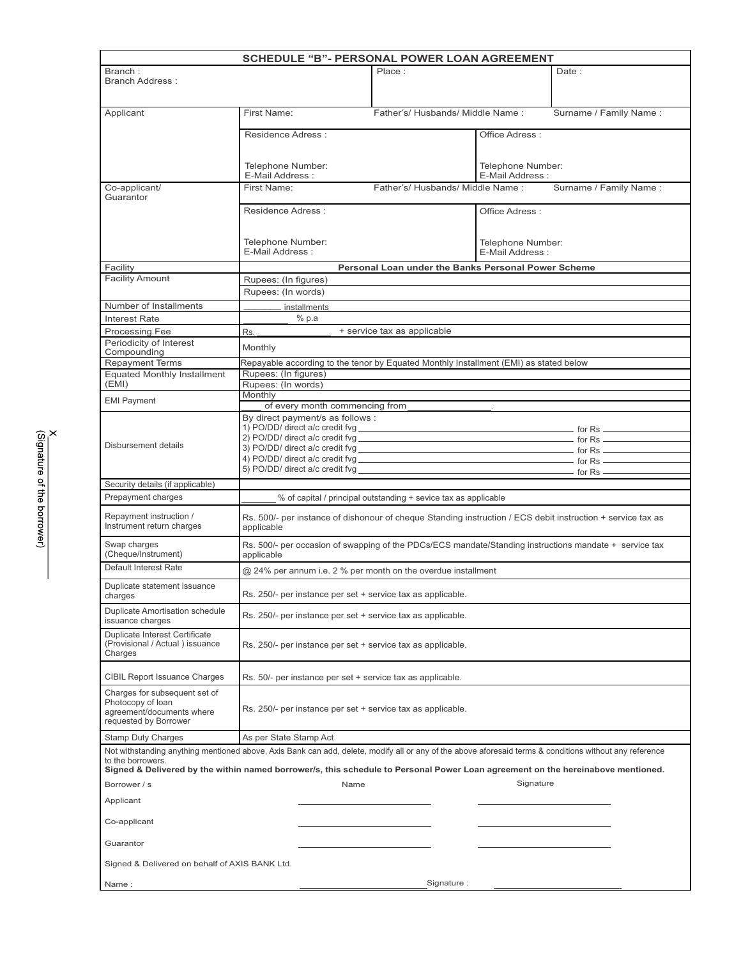| <b>SCHEDULE "B"- PERSONAL POWER LOAN AGREEMENT</b>                                                                                                                                                                                                                                                              |                                                                                                                           |                                                                 |                                      |                        |
|-----------------------------------------------------------------------------------------------------------------------------------------------------------------------------------------------------------------------------------------------------------------------------------------------------------------|---------------------------------------------------------------------------------------------------------------------------|-----------------------------------------------------------------|--------------------------------------|------------------------|
| Branch:<br><b>Branch Address:</b>                                                                                                                                                                                                                                                                               |                                                                                                                           | Place:                                                          |                                      | Date:                  |
| Applicant                                                                                                                                                                                                                                                                                                       | First Name:                                                                                                               | Father's/ Husbands/ Middle Name:                                |                                      | Surname / Family Name: |
|                                                                                                                                                                                                                                                                                                                 | Residence Adress:                                                                                                         | Office Adress:                                                  |                                      |                        |
|                                                                                                                                                                                                                                                                                                                 | Telephone Number:<br>E-Mail Address:                                                                                      |                                                                 | Telephone Number:<br>E-Mail Address: |                        |
| Co-applicant/<br>Guarantor                                                                                                                                                                                                                                                                                      | First Name:                                                                                                               | Surname / Family Name:<br>Father's/Husbands/Middle Name:        |                                      |                        |
|                                                                                                                                                                                                                                                                                                                 | Residence Adress:                                                                                                         |                                                                 | Office Adress:                       |                        |
|                                                                                                                                                                                                                                                                                                                 | Telephone Number:<br>E-Mail Address:                                                                                      |                                                                 | Telephone Number:<br>E-Mail Address: |                        |
| Facility                                                                                                                                                                                                                                                                                                        |                                                                                                                           | Personal Loan under the Banks Personal Power Scheme             |                                      |                        |
| <b>Facility Amount</b>                                                                                                                                                                                                                                                                                          | Rupees: (In figures)<br>Rupees: (In words)                                                                                |                                                                 |                                      |                        |
| Number of Installments                                                                                                                                                                                                                                                                                          | installments                                                                                                              |                                                                 |                                      |                        |
| <b>Interest Rate</b>                                                                                                                                                                                                                                                                                            | % p.a                                                                                                                     |                                                                 |                                      |                        |
| Processing Fee                                                                                                                                                                                                                                                                                                  | Rs.                                                                                                                       | + service tax as applicable                                     |                                      |                        |
| Periodicity of Interest                                                                                                                                                                                                                                                                                         | Monthly                                                                                                                   |                                                                 |                                      |                        |
| Compounding<br><b>Repayment Terms</b>                                                                                                                                                                                                                                                                           | Repayable according to the tenor by Equated Monthly Installment (EMI) as stated below                                     |                                                                 |                                      |                        |
| <b>Equated Monthly Installment</b>                                                                                                                                                                                                                                                                              | Rupees: (In figures)                                                                                                      |                                                                 |                                      |                        |
| (EMI)                                                                                                                                                                                                                                                                                                           | Rupees: (In words)                                                                                                        |                                                                 |                                      |                        |
| <b>EMI Payment</b>                                                                                                                                                                                                                                                                                              | Monthly                                                                                                                   |                                                                 |                                      |                        |
|                                                                                                                                                                                                                                                                                                                 | of every month commencing from                                                                                            |                                                                 |                                      |                        |
|                                                                                                                                                                                                                                                                                                                 | By direct payment/s as follows :                                                                                          |                                                                 |                                      |                        |
|                                                                                                                                                                                                                                                                                                                 |                                                                                                                           |                                                                 |                                      |                        |
| Disbursement details                                                                                                                                                                                                                                                                                            |                                                                                                                           |                                                                 |                                      |                        |
|                                                                                                                                                                                                                                                                                                                 |                                                                                                                           |                                                                 |                                      |                        |
|                                                                                                                                                                                                                                                                                                                 |                                                                                                                           |                                                                 |                                      |                        |
| Security details (if applicable)                                                                                                                                                                                                                                                                                |                                                                                                                           |                                                                 |                                      |                        |
| Prepayment charges                                                                                                                                                                                                                                                                                              |                                                                                                                           | % of capital / principal outstanding + sevice tax as applicable |                                      |                        |
| Repayment instruction /<br>Instrument return charges                                                                                                                                                                                                                                                            | Rs. 500/- per instance of dishonour of cheque Standing instruction / ECS debit instruction + service tax as<br>applicable |                                                                 |                                      |                        |
| Swap charges<br>(Cheque/Instrument)                                                                                                                                                                                                                                                                             | Rs. 500/- per occasion of swapping of the PDCs/ECS mandate/Standing instructions mandate + service tax<br>applicable      |                                                                 |                                      |                        |
| Default Interest Rate                                                                                                                                                                                                                                                                                           | @ 24% per annum i.e. 2 % per month on the overdue installment                                                             |                                                                 |                                      |                        |
| Duplicate statement issuance<br>Rs. 250/- per instance per set + service tax as applicable.<br>charges                                                                                                                                                                                                          |                                                                                                                           |                                                                 |                                      |                        |
| <b>Duplicate Amortisation schedule</b><br>issuance charges                                                                                                                                                                                                                                                      | Rs. 250/- per instance per set + service tax as applicable.                                                               |                                                                 |                                      |                        |
| Duplicate Interest Certificate<br>(Provisional / Actual) issuance<br>Charges                                                                                                                                                                                                                                    | Rs. 250/- per instance per set + service tax as applicable.                                                               |                                                                 |                                      |                        |
| CIBIL Report Issuance Charges                                                                                                                                                                                                                                                                                   | Rs. 50/- per instance per set + service tax as applicable.                                                                |                                                                 |                                      |                        |
| Charges for subsequent set of<br>Photocopy of loan<br>agreement/documents where<br>requested by Borrower                                                                                                                                                                                                        | Rs. 250/- per instance per set + service tax as applicable.                                                               |                                                                 |                                      |                        |
| <b>Stamp Duty Charges</b>                                                                                                                                                                                                                                                                                       | As per State Stamp Act                                                                                                    |                                                                 |                                      |                        |
| Not withstanding anything mentioned above, Axis Bank can add, delete, modify all or any of the above aforesaid terms & conditions without any reference<br>to the borrowers.<br>Signed & Delivered by the within named borrower/s, this schedule to Personal Power Loan agreement on the hereinabove mentioned. |                                                                                                                           |                                                                 |                                      |                        |
| Signature<br>Borrower / s<br>Name                                                                                                                                                                                                                                                                               |                                                                                                                           |                                                                 |                                      |                        |
| Applicant                                                                                                                                                                                                                                                                                                       |                                                                                                                           |                                                                 |                                      |                        |
| Co-applicant                                                                                                                                                                                                                                                                                                    |                                                                                                                           |                                                                 |                                      |                        |
| Guarantor                                                                                                                                                                                                                                                                                                       |                                                                                                                           |                                                                 |                                      |                        |
| Signed & Delivered on behalf of AXIS BANK Ltd.                                                                                                                                                                                                                                                                  |                                                                                                                           |                                                                 |                                      |                        |
| Name:                                                                                                                                                                                                                                                                                                           |                                                                                                                           | Signature:                                                      |                                      |                        |

 $\overline{\phantom{a}}$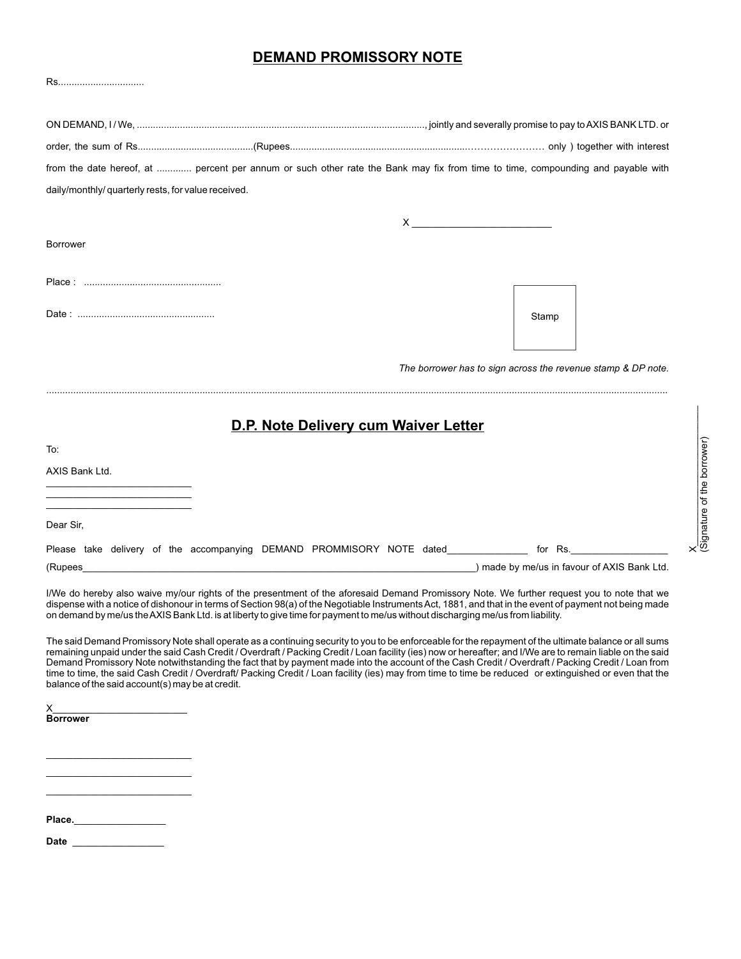### **DEMAND PROMISSORY NOTE**

| Rs                                                                                                                              |                                      |                                                                                                                                                                                                                                                                                                                                              |                                                                                                                                                                                                                                                                                                                                                                                                                                                                                                                                                                                                                                    |  |
|---------------------------------------------------------------------------------------------------------------------------------|--------------------------------------|----------------------------------------------------------------------------------------------------------------------------------------------------------------------------------------------------------------------------------------------------------------------------------------------------------------------------------------------|------------------------------------------------------------------------------------------------------------------------------------------------------------------------------------------------------------------------------------------------------------------------------------------------------------------------------------------------------------------------------------------------------------------------------------------------------------------------------------------------------------------------------------------------------------------------------------------------------------------------------------|--|
|                                                                                                                                 |                                      |                                                                                                                                                                                                                                                                                                                                              |                                                                                                                                                                                                                                                                                                                                                                                                                                                                                                                                                                                                                                    |  |
|                                                                                                                                 |                                      |                                                                                                                                                                                                                                                                                                                                              |                                                                                                                                                                                                                                                                                                                                                                                                                                                                                                                                                                                                                                    |  |
|                                                                                                                                 |                                      |                                                                                                                                                                                                                                                                                                                                              | from the date hereof, at  percent per annum or such other rate the Bank may fix from time to time, compounding and payable with                                                                                                                                                                                                                                                                                                                                                                                                                                                                                                    |  |
| daily/monthly/ quarterly rests, for value received.                                                                             |                                      |                                                                                                                                                                                                                                                                                                                                              |                                                                                                                                                                                                                                                                                                                                                                                                                                                                                                                                                                                                                                    |  |
|                                                                                                                                 |                                      | $X$ $\qquad \qquad$ $\qquad \qquad$ $\qquad$ $\qquad$ $\qquad$ $\qquad$ $\qquad$ $\qquad$ $\qquad$ $\qquad$ $\qquad$ $\qquad$ $\qquad$ $\qquad$ $\qquad$ $\qquad$ $\qquad$ $\qquad$ $\qquad$ $\qquad$ $\qquad$ $\qquad$ $\qquad$ $\qquad$ $\qquad$ $\qquad$ $\qquad$ $\qquad$ $\qquad$ $\qquad$ $\qquad$ $\qquad$ $\qquad$ $\qquad$ $\qquad$ |                                                                                                                                                                                                                                                                                                                                                                                                                                                                                                                                                                                                                                    |  |
| <b>Borrower</b>                                                                                                                 |                                      |                                                                                                                                                                                                                                                                                                                                              |                                                                                                                                                                                                                                                                                                                                                                                                                                                                                                                                                                                                                                    |  |
|                                                                                                                                 |                                      |                                                                                                                                                                                                                                                                                                                                              |                                                                                                                                                                                                                                                                                                                                                                                                                                                                                                                                                                                                                                    |  |
|                                                                                                                                 |                                      |                                                                                                                                                                                                                                                                                                                                              | Stamp                                                                                                                                                                                                                                                                                                                                                                                                                                                                                                                                                                                                                              |  |
|                                                                                                                                 |                                      |                                                                                                                                                                                                                                                                                                                                              |                                                                                                                                                                                                                                                                                                                                                                                                                                                                                                                                                                                                                                    |  |
|                                                                                                                                 |                                      |                                                                                                                                                                                                                                                                                                                                              | The borrower has to sign across the revenue stamp & DP note.                                                                                                                                                                                                                                                                                                                                                                                                                                                                                                                                                                       |  |
|                                                                                                                                 | D.P. Note Delivery cum Waiver Letter |                                                                                                                                                                                                                                                                                                                                              |                                                                                                                                                                                                                                                                                                                                                                                                                                                                                                                                                                                                                                    |  |
| To:                                                                                                                             |                                      |                                                                                                                                                                                                                                                                                                                                              |                                                                                                                                                                                                                                                                                                                                                                                                                                                                                                                                                                                                                                    |  |
| AXIS Bank Ltd.                                                                                                                  |                                      |                                                                                                                                                                                                                                                                                                                                              |                                                                                                                                                                                                                                                                                                                                                                                                                                                                                                                                                                                                                                    |  |
|                                                                                                                                 |                                      |                                                                                                                                                                                                                                                                                                                                              |                                                                                                                                                                                                                                                                                                                                                                                                                                                                                                                                                                                                                                    |  |
| Dear Sir,                                                                                                                       |                                      |                                                                                                                                                                                                                                                                                                                                              |                                                                                                                                                                                                                                                                                                                                                                                                                                                                                                                                                                                                                                    |  |
| Please take delivery of the accompanying DEMAND PROMMISORY NOTE dated                                                           |                                      |                                                                                                                                                                                                                                                                                                                                              | for Rs.                                                                                                                                                                                                                                                                                                                                                                                                                                                                                                                                                                                                                            |  |
|                                                                                                                                 |                                      |                                                                                                                                                                                                                                                                                                                                              | (Rupees <b>Contract and Contract and Contract and Contract and Contract and Contract and Contract and Contract and Contract and Contract and Contract and Contract and Contract and Contract and Contract and Contract and Contr</b>                                                                                                                                                                                                                                                                                                                                                                                               |  |
| on demand by me/us the AXIS Bank Ltd. is at liberty to give time for payment to me/us without discharging me/us from liability. |                                      |                                                                                                                                                                                                                                                                                                                                              | I/We do hereby also waive my/our rights of the presentment of the aforesaid Demand Promissory Note. We further request you to note that we<br>dispense with a notice of dishonour in terms of Section 98(a) of the Negotiable Instruments Act, 1881, and that in the event of payment not being made                                                                                                                                                                                                                                                                                                                               |  |
| balance of the said account(s) may be at credit.                                                                                |                                      |                                                                                                                                                                                                                                                                                                                                              | The said Demand Promissory Note shall operate as a continuing security to you to be enforceable for the repayment of the ultimate balance or all sums<br>remaining unpaid under the said Cash Credit / Overdraft / Packing Credit / Loan facility (ies) now or hereafter; and I/We are to remain liable on the said<br>Demand Promissory Note notwithstanding the fact that by payment made into the account of the Cash Credit / Overdraft / Packing Credit / Loan from<br>time to time, the said Cash Credit / Overdraft/ Packing Credit / Loan facility (ies) may from time to time be reduced or extinguished or even that the |  |
|                                                                                                                                 |                                      |                                                                                                                                                                                                                                                                                                                                              |                                                                                                                                                                                                                                                                                                                                                                                                                                                                                                                                                                                                                                    |  |

**Borrower** 

. . . . . . . . . . . . . . . . . . .

Place.

Date  $\overline{\phantom{a}}$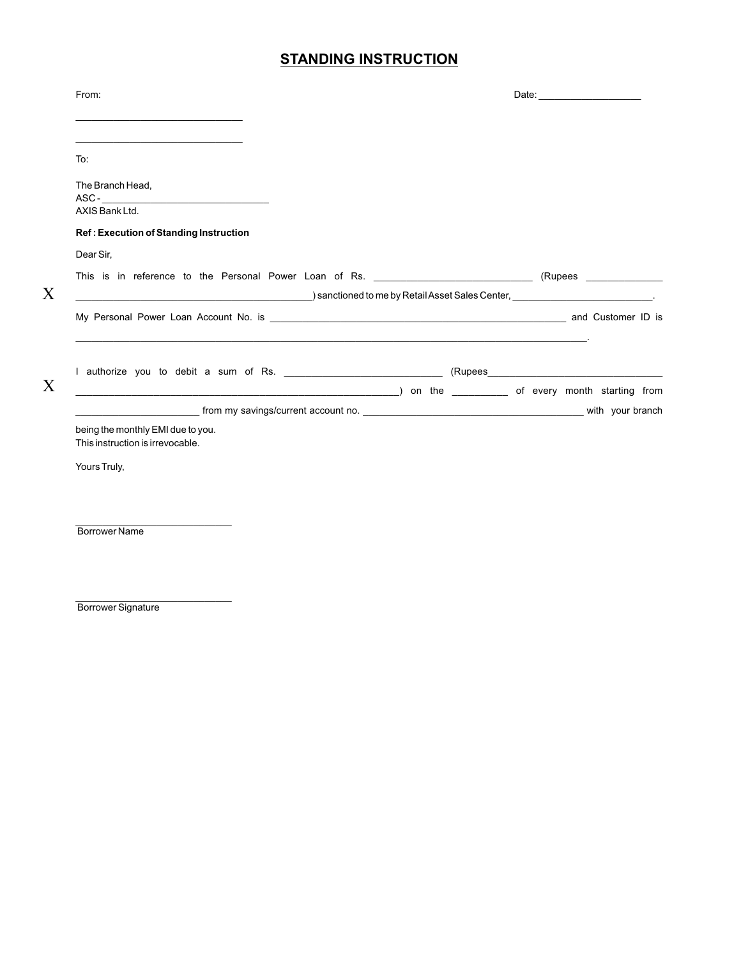## **STANDING INSTRUCTION**

| From:                                                                          |  |
|--------------------------------------------------------------------------------|--|
| To:                                                                            |  |
| The Branch Head,<br>AXIS Bank Ltd.                                             |  |
| Ref: Execution of Standing Instruction                                         |  |
| Dear Sir,                                                                      |  |
|                                                                                |  |
| $\blacksquare$ ) sanctioned to me by Retail Asset Sales Center, $\blacksquare$ |  |
|                                                                                |  |
|                                                                                |  |
| being the monthly EMI due to you.<br>This instruction is irrevocable.          |  |
| Yours Truly,                                                                   |  |
| <b>Borrower Name</b>                                                           |  |
|                                                                                |  |
|                                                                                |  |

Borrower Signature

X

X